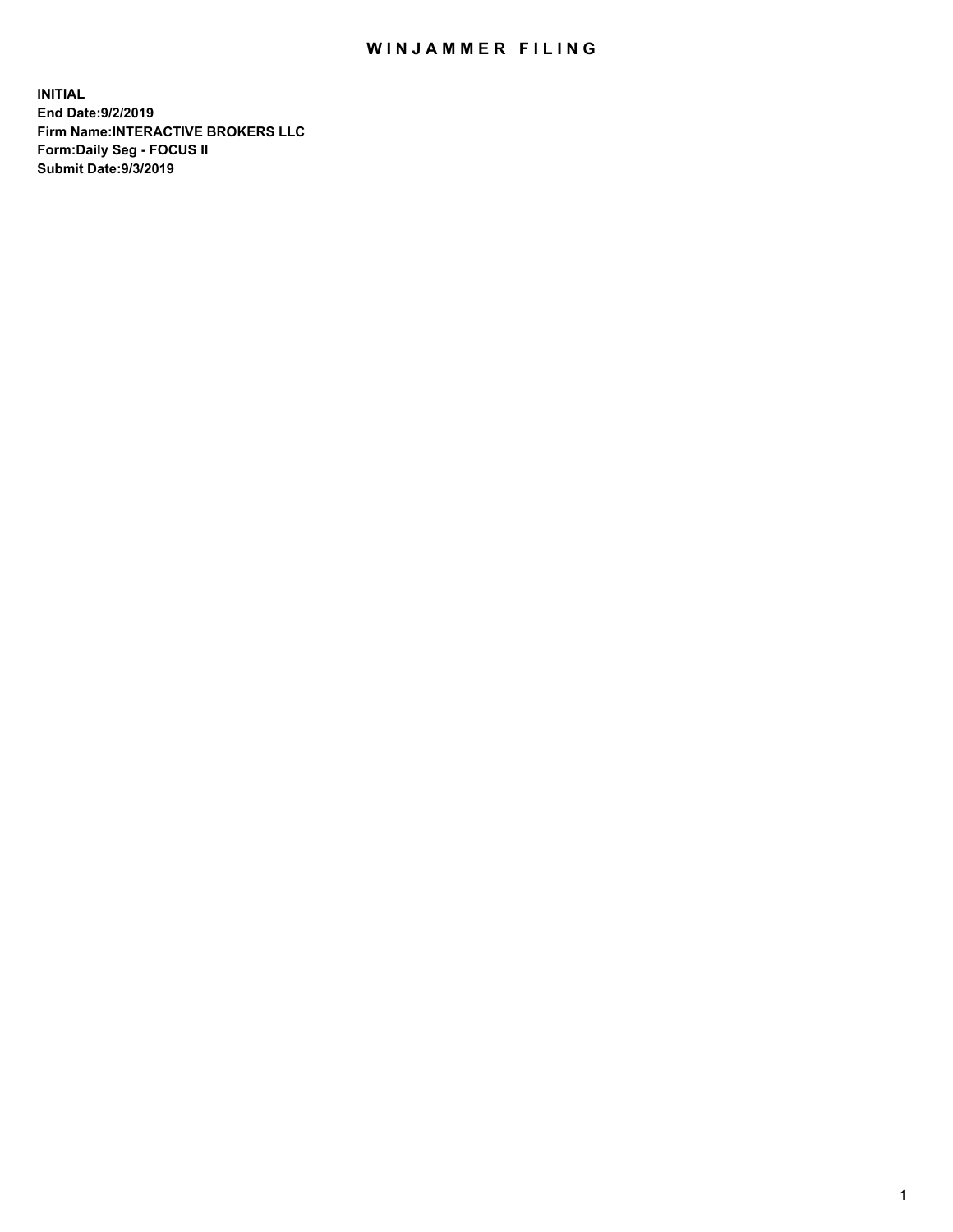## WIN JAMMER FILING

**INITIAL End Date:9/2/2019 Firm Name:INTERACTIVE BROKERS LLC Form:Daily Seg - FOCUS II Submit Date:9/3/2019**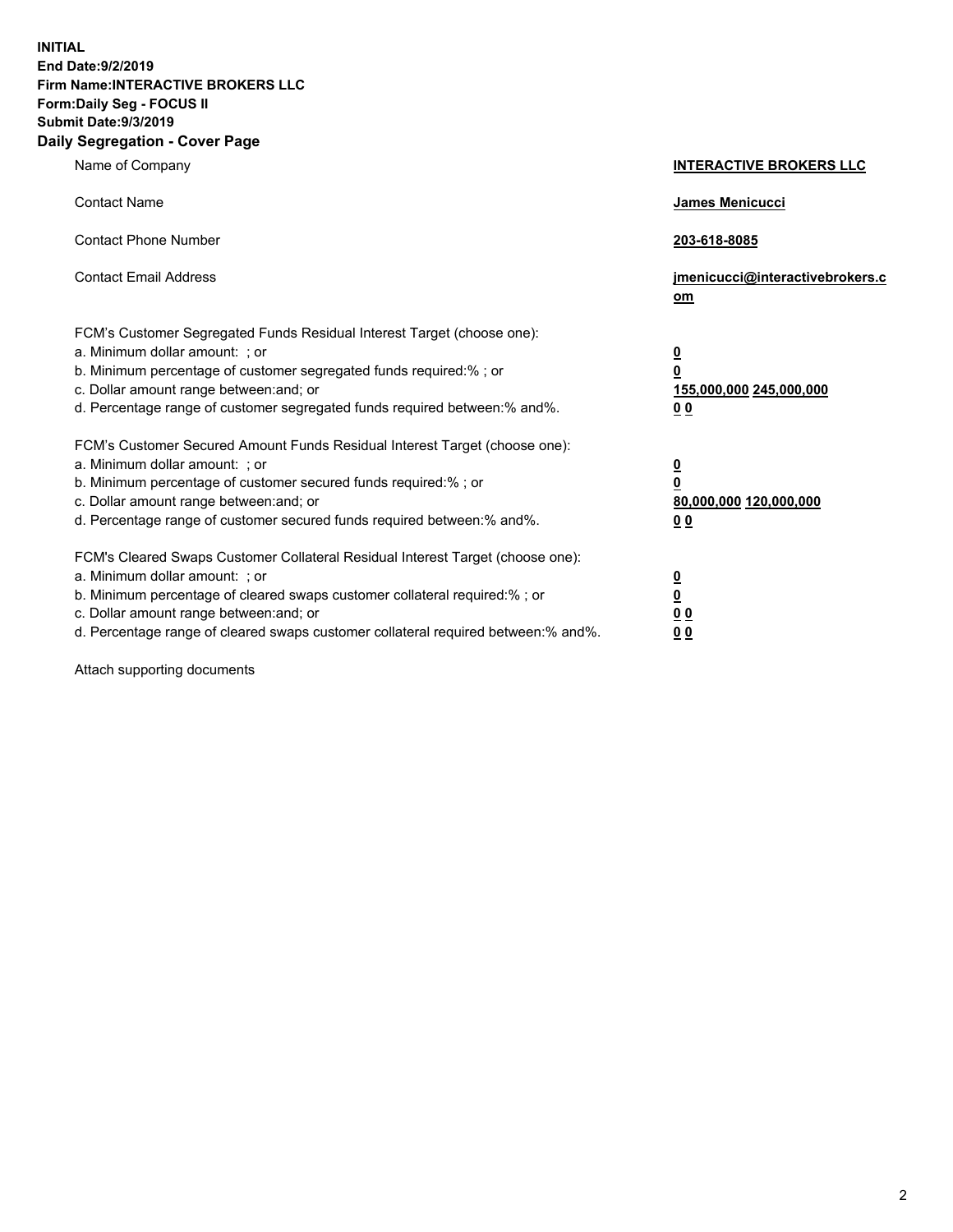**INITIAL End Date:9/2/2019 Firm Name:INTERACTIVE BROKERS LLC Form:Daily Seg - FOCUS II Submit Date:9/3/2019 Daily Segregation - Cover Page**

| Name of Company                                                                                                                                                                                                                                                                                                                | <b>INTERACTIVE BROKERS LLC</b>                                                                  |
|--------------------------------------------------------------------------------------------------------------------------------------------------------------------------------------------------------------------------------------------------------------------------------------------------------------------------------|-------------------------------------------------------------------------------------------------|
| <b>Contact Name</b>                                                                                                                                                                                                                                                                                                            | <b>James Menicucci</b>                                                                          |
| <b>Contact Phone Number</b>                                                                                                                                                                                                                                                                                                    | 203-618-8085                                                                                    |
| <b>Contact Email Address</b>                                                                                                                                                                                                                                                                                                   | jmenicucci@interactivebrokers.c<br>om                                                           |
| FCM's Customer Segregated Funds Residual Interest Target (choose one):<br>a. Minimum dollar amount: ; or<br>b. Minimum percentage of customer segregated funds required:% ; or<br>c. Dollar amount range between: and; or<br>d. Percentage range of customer segregated funds required between:% and%.                         | $\overline{\mathbf{0}}$<br>$\overline{\mathbf{0}}$<br>155,000,000 245,000,000<br>0 <sub>0</sub> |
| FCM's Customer Secured Amount Funds Residual Interest Target (choose one):<br>a. Minimum dollar amount: ; or<br>b. Minimum percentage of customer secured funds required:%; or<br>c. Dollar amount range between: and; or<br>d. Percentage range of customer secured funds required between:% and%.                            | $\overline{\mathbf{0}}$<br>$\mathbf 0$<br>80,000,000 120,000,000<br>0 <sub>0</sub>              |
| FCM's Cleared Swaps Customer Collateral Residual Interest Target (choose one):<br>a. Minimum dollar amount: ; or<br>b. Minimum percentage of cleared swaps customer collateral required:% ; or<br>c. Dollar amount range between: and; or<br>d. Percentage range of cleared swaps customer collateral required between:% and%. | $\overline{\mathbf{0}}$<br>$\underline{\mathbf{0}}$<br>0 <sub>0</sub><br>00                     |

Attach supporting documents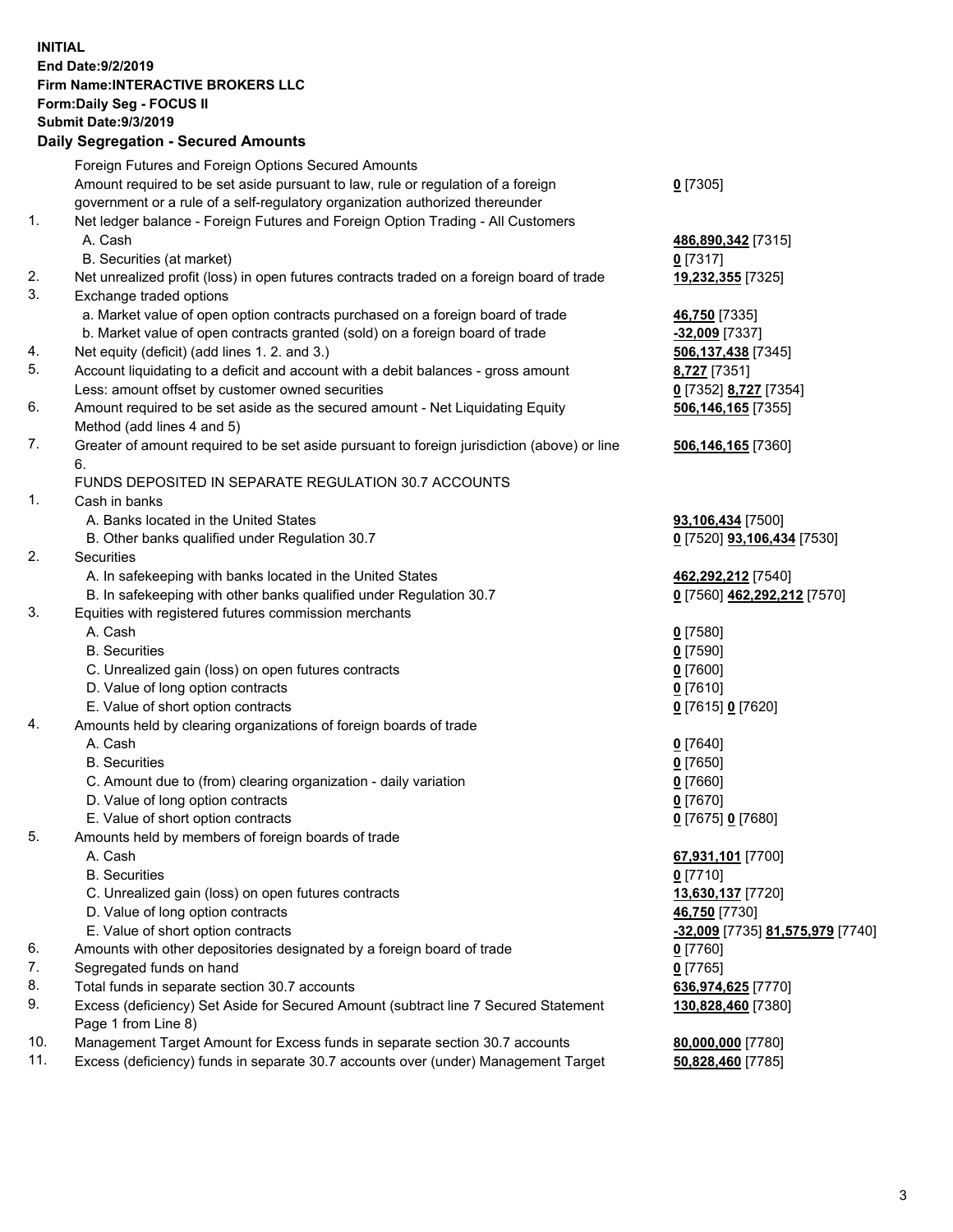## **INITIAL End Date:9/2/2019 Firm Name:INTERACTIVE BROKERS LLC Form:Daily Seg - FOCUS II Submit Date:9/3/2019 Daily Segregation - Secured Amounts**

|     | 2011, Ocgi ogation - Oceaned Anioanita                                                      |                                                      |
|-----|---------------------------------------------------------------------------------------------|------------------------------------------------------|
|     | Foreign Futures and Foreign Options Secured Amounts                                         |                                                      |
|     | Amount required to be set aside pursuant to law, rule or regulation of a foreign            | $0$ [7305]                                           |
|     | government or a rule of a self-regulatory organization authorized thereunder                |                                                      |
| 1.  | Net ledger balance - Foreign Futures and Foreign Option Trading - All Customers             |                                                      |
|     | A. Cash                                                                                     | 486,890,342 [7315]                                   |
|     | B. Securities (at market)                                                                   | $0$ [7317]                                           |
| 2.  | Net unrealized profit (loss) in open futures contracts traded on a foreign board of trade   | 19,232,355 [7325]                                    |
| 3.  | Exchange traded options                                                                     |                                                      |
|     | a. Market value of open option contracts purchased on a foreign board of trade              | 46,750 [7335]                                        |
|     | b. Market value of open contracts granted (sold) on a foreign board of trade                | -32,009 [7337]                                       |
| 4.  | Net equity (deficit) (add lines 1. 2. and 3.)                                               | 506,137,438 [7345]                                   |
| 5.  | Account liquidating to a deficit and account with a debit balances - gross amount           | 8,727 [7351]                                         |
|     | Less: amount offset by customer owned securities                                            | 0 [7352] 8,727 [7354]                                |
| 6.  | Amount required to be set aside as the secured amount - Net Liquidating Equity              | 506,146,165 [7355]                                   |
|     | Method (add lines 4 and 5)                                                                  |                                                      |
| 7.  | Greater of amount required to be set aside pursuant to foreign jurisdiction (above) or line | 506,146,165 [7360]                                   |
|     | 6.                                                                                          |                                                      |
|     | FUNDS DEPOSITED IN SEPARATE REGULATION 30.7 ACCOUNTS                                        |                                                      |
| 1.  | Cash in banks                                                                               |                                                      |
|     | A. Banks located in the United States                                                       | 93,106,434 [7500]                                    |
|     | B. Other banks qualified under Regulation 30.7                                              | 0 [7520] 93,106,434 [7530]                           |
| 2.  | Securities                                                                                  |                                                      |
|     | A. In safekeeping with banks located in the United States                                   | 462,292,212 [7540]                                   |
|     | B. In safekeeping with other banks qualified under Regulation 30.7                          | 0 [7560] 462,292,212 [7570]                          |
| 3.  | Equities with registered futures commission merchants                                       |                                                      |
|     | A. Cash                                                                                     | $0$ [7580]                                           |
|     | <b>B.</b> Securities                                                                        | $0$ [7590]                                           |
|     | C. Unrealized gain (loss) on open futures contracts                                         | $0$ [7600]                                           |
|     | D. Value of long option contracts                                                           | $0$ [7610]                                           |
|     | E. Value of short option contracts                                                          | 0 [7615] 0 [7620]                                    |
| 4.  | Amounts held by clearing organizations of foreign boards of trade                           |                                                      |
|     | A. Cash                                                                                     | $0$ [7640]                                           |
|     | <b>B.</b> Securities                                                                        | $0$ [7650]                                           |
|     | C. Amount due to (from) clearing organization - daily variation                             | $0$ [7660]                                           |
|     | D. Value of long option contracts                                                           | $0$ [7670]                                           |
|     | E. Value of short option contracts                                                          | 0 [7675] 0 [7680]                                    |
| 5.  | Amounts held by members of foreign boards of trade                                          |                                                      |
|     | A. Cash                                                                                     | 67,931,101 [7700]                                    |
|     | <b>B.</b> Securities                                                                        | $0$ [7710]                                           |
|     | C. Unrealized gain (loss) on open futures contracts                                         | 13,630,137 [7720]                                    |
|     | D. Value of long option contracts                                                           | 46,750 [7730]                                        |
|     | E. Value of short option contracts                                                          | <mark>-32,009</mark> [7735] <u>81,575,979</u> [7740] |
| 6.  | Amounts with other depositories designated by a foreign board of trade                      | $0$ [7760]                                           |
| 7.  | Segregated funds on hand                                                                    | $0$ [7765]                                           |
| 8.  | Total funds in separate section 30.7 accounts                                               | 636,974,625 [7770]                                   |
| 9.  | Excess (deficiency) Set Aside for Secured Amount (subtract line 7 Secured Statement         | 130,828,460 [7380]                                   |
|     | Page 1 from Line 8)                                                                         |                                                      |
| 10. | Management Target Amount for Excess funds in separate section 30.7 accounts                 | 80,000,000 [7780]                                    |
| 11. | Excess (deficiency) funds in separate 30.7 accounts over (under) Management Target          | 50,828,460 [7785]                                    |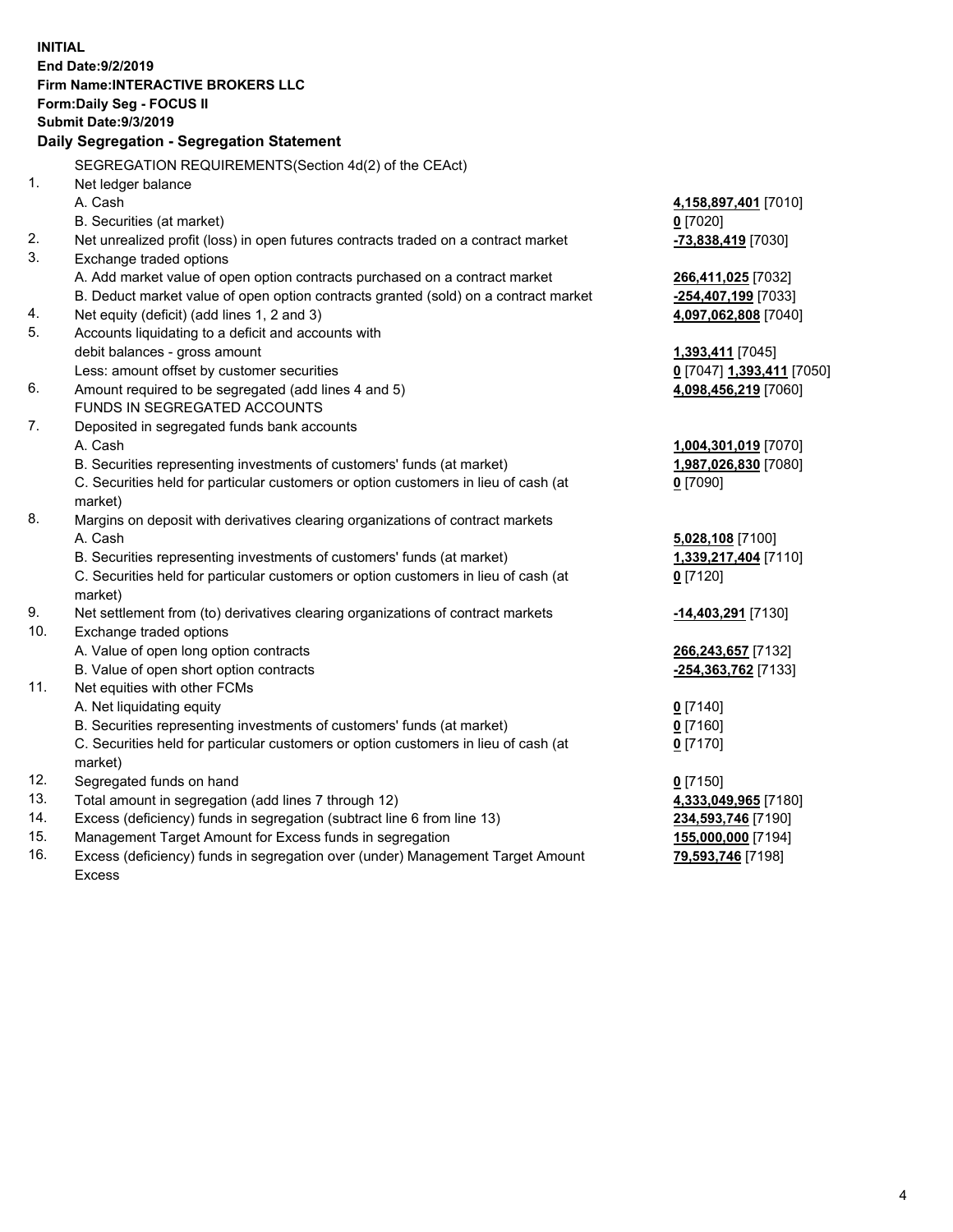**INITIAL End Date:9/2/2019 Firm Name:INTERACTIVE BROKERS LLC Form:Daily Seg - FOCUS II Submit Date:9/3/2019 Daily Segregation - Segregation Statement** SEGREGATION REQUIREMENTS(Section 4d(2) of the CEAct) 1. Net ledger balance A. Cash **4,158,897,401** [7010] B. Securities (at market) **0** [7020] 2. Net unrealized profit (loss) in open futures contracts traded on a contract market **-73,838,419** [7030] 3. Exchange traded options A. Add market value of open option contracts purchased on a contract market **266,411,025** [7032] B. Deduct market value of open option contracts granted (sold) on a contract market **-254,407,199** [7033] 4. Net equity (deficit) (add lines 1, 2 and 3) **4,097,062,808** [7040] 5. Accounts liquidating to a deficit and accounts with debit balances - gross amount **1,393,411** [7045] Less: amount offset by customer securities **0** [7047] **1,393,411** [7050] 6. Amount required to be segregated (add lines 4 and 5) **4,098,456,219** [7060] FUNDS IN SEGREGATED ACCOUNTS 7. Deposited in segregated funds bank accounts A. Cash **1,004,301,019** [7070] B. Securities representing investments of customers' funds (at market) **1,987,026,830** [7080] C. Securities held for particular customers or option customers in lieu of cash (at market) **0** [7090] 8. Margins on deposit with derivatives clearing organizations of contract markets A. Cash **5,028,108** [7100] B. Securities representing investments of customers' funds (at market) **1,339,217,404** [7110] C. Securities held for particular customers or option customers in lieu of cash (at market) **0** [7120] 9. Net settlement from (to) derivatives clearing organizations of contract markets **-14,403,291** [7130] 10. Exchange traded options A. Value of open long option contracts **266,243,657** [7132] B. Value of open short option contracts **-254,363,762** [7133] 11. Net equities with other FCMs A. Net liquidating equity **0** [7140] B. Securities representing investments of customers' funds (at market) **0** [7160] C. Securities held for particular customers or option customers in lieu of cash (at market) **0** [7170] 12. Segregated funds on hand **0** [7150] 13. Total amount in segregation (add lines 7 through 12) **4,333,049,965** [7180] 14. Excess (deficiency) funds in segregation (subtract line 6 from line 13) **234,593,746** [7190] 15. Management Target Amount for Excess funds in segregation **155,000,000** [7194] 16. Excess (deficiency) funds in segregation over (under) Management Target Amount **79,593,746** [7198]

Excess